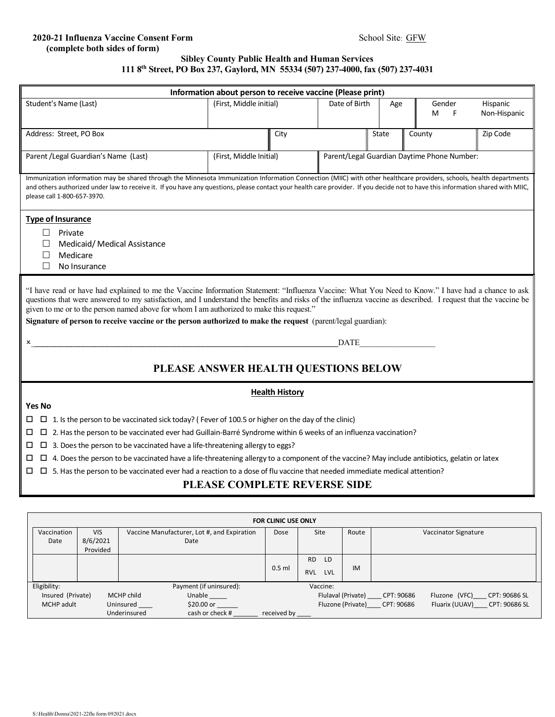## **2020-21 Influenza Vaccine Consent Form** School Site: GFW  **(complete both sides of form)**

## **Sibley County Public Health and Human Services 111 8th Street, PO Box 237, Gaylord, MN 55334 (507) 237-4000, fax (507) 237-4031**

| Information about person to receive vaccine (Please print)                                                                                                                                                                                                                                                                                                                                                                                                                                                                                                                                  |                                                                                                                                                                                                                                                                                                                                                                                         |                                    |                                                                                                     |                         |                         |                 |       |                  |                          |  |  |
|---------------------------------------------------------------------------------------------------------------------------------------------------------------------------------------------------------------------------------------------------------------------------------------------------------------------------------------------------------------------------------------------------------------------------------------------------------------------------------------------------------------------------------------------------------------------------------------------|-----------------------------------------------------------------------------------------------------------------------------------------------------------------------------------------------------------------------------------------------------------------------------------------------------------------------------------------------------------------------------------------|------------------------------------|-----------------------------------------------------------------------------------------------------|-------------------------|-------------------------|-----------------|-------|------------------|--------------------------|--|--|
|                                                                                                                                                                                                                                                                                                                                                                                                                                                                                                                                                                                             | Student's Name (Last)                                                                                                                                                                                                                                                                                                                                                                   |                                    |                                                                                                     | (First, Middle initial) |                         | Date of Birth   |       | Gender<br>F<br>м | Hispanic<br>Non-Hispanic |  |  |
|                                                                                                                                                                                                                                                                                                                                                                                                                                                                                                                                                                                             |                                                                                                                                                                                                                                                                                                                                                                                         |                                    |                                                                                                     |                         |                         |                 |       |                  |                          |  |  |
| Address: Street, PO Box                                                                                                                                                                                                                                                                                                                                                                                                                                                                                                                                                                     |                                                                                                                                                                                                                                                                                                                                                                                         |                                    |                                                                                                     | City                    |                         |                 | State | County           | Zip Code                 |  |  |
| Parent / Legal Guardian's Name (Last)                                                                                                                                                                                                                                                                                                                                                                                                                                                                                                                                                       |                                                                                                                                                                                                                                                                                                                                                                                         |                                    |                                                                                                     |                         | (First, Middle Initial) |                 |       |                  |                          |  |  |
|                                                                                                                                                                                                                                                                                                                                                                                                                                                                                                                                                                                             | Parent/Legal Guardian Daytime Phone Number:                                                                                                                                                                                                                                                                                                                                             |                                    |                                                                                                     |                         |                         |                 |       |                  |                          |  |  |
|                                                                                                                                                                                                                                                                                                                                                                                                                                                                                                                                                                                             | Immunization information may be shared through the Minnesota Immunization Information Connection (MIIC) with other healthcare providers, schools, health departments<br>and others authorized under law to receive it. If you have any questions, please contact your health care provider. If you decide not to have this information shared with MIIC,<br>please call 1-800-657-3970. |                                    |                                                                                                     |                         |                         |                 |       |                  |                          |  |  |
|                                                                                                                                                                                                                                                                                                                                                                                                                                                                                                                                                                                             | <b>Type of Insurance</b><br>Private<br>Medicaid/ Medical Assistance<br>Medicare<br>П<br>No Insurance                                                                                                                                                                                                                                                                                    |                                    |                                                                                                     |                         |                         |                 |       |                  |                          |  |  |
| "I have read or have had explained to me the Vaccine Information Statement: "Influenza Vaccine: What You Need to Know." I have had a chance to ask<br>questions that were answered to my satisfaction, and I understand the benefits and risks of the influenza vaccine as described. I request that the vaccine be<br>given to me or to the person named above for whom I am authorized to make this request."<br>Signature of person to receive vaccine or the person authorized to make the request (parent/legal guardian):<br><b>DATE</b><br>x<br>PLEASE ANSWER HEALTH QUESTIONS BELOW |                                                                                                                                                                                                                                                                                                                                                                                         |                                    |                                                                                                     |                         |                         |                 |       |                  |                          |  |  |
|                                                                                                                                                                                                                                                                                                                                                                                                                                                                                                                                                                                             | <b>Health History</b>                                                                                                                                                                                                                                                                                                                                                                   |                                    |                                                                                                     |                         |                         |                 |       |                  |                          |  |  |
| <b>Yes No</b>                                                                                                                                                                                                                                                                                                                                                                                                                                                                                                                                                                               |                                                                                                                                                                                                                                                                                                                                                                                         |                                    |                                                                                                     |                         |                         |                 |       |                  |                          |  |  |
| ப                                                                                                                                                                                                                                                                                                                                                                                                                                                                                                                                                                                           |                                                                                                                                                                                                                                                                                                                                                                                         |                                    | □ 1. Is the person to be vaccinated sick today? (Fever of 100.5 or higher on the day of the clinic) |                         |                         |                 |       |                  |                          |  |  |
|                                                                                                                                                                                                                                                                                                                                                                                                                                                                                                                                                                                             | $\Box$ 2. Has the person to be vaccinated ever had Guillain-Barré Syndrome within 6 weeks of an influenza vaccination?<br>□                                                                                                                                                                                                                                                             |                                    |                                                                                                     |                         |                         |                 |       |                  |                          |  |  |
|                                                                                                                                                                                                                                                                                                                                                                                                                                                                                                                                                                                             | $\Box$ 3. Does the person to be vaccinated have a life-threatening allergy to eggs?<br>ц<br>$\Box$ 4. Does the person to be vaccinated have a life-threatening allergy to a component of the vaccine? May include antibiotics, gelatin or latex                                                                                                                                         |                                    |                                                                                                     |                         |                         |                 |       |                  |                          |  |  |
| □                                                                                                                                                                                                                                                                                                                                                                                                                                                                                                                                                                                           |                                                                                                                                                                                                                                                                                                                                                                                         |                                    |                                                                                                     |                         |                         |                 |       |                  |                          |  |  |
|                                                                                                                                                                                                                                                                                                                                                                                                                                                                                                                                                                                             | $\square$ 5. Has the person to be vaccinated ever had a reaction to a dose of flu vaccine that needed immediate medical attention?<br>□<br>PLEASE COMPLETE REVERSE SIDE                                                                                                                                                                                                                 |                                    |                                                                                                     |                         |                         |                 |       |                  |                          |  |  |
|                                                                                                                                                                                                                                                                                                                                                                                                                                                                                                                                                                                             |                                                                                                                                                                                                                                                                                                                                                                                         |                                    |                                                                                                     |                         |                         |                 |       |                  |                          |  |  |
|                                                                                                                                                                                                                                                                                                                                                                                                                                                                                                                                                                                             |                                                                                                                                                                                                                                                                                                                                                                                         |                                    |                                                                                                     |                         |                         |                 |       |                  |                          |  |  |
|                                                                                                                                                                                                                                                                                                                                                                                                                                                                                                                                                                                             | FOR CLINIC USE ONLY                                                                                                                                                                                                                                                                                                                                                                     |                                    |                                                                                                     |                         |                         |                 |       |                  |                          |  |  |
|                                                                                                                                                                                                                                                                                                                                                                                                                                                                                                                                                                                             | Vaccination<br>Date                                                                                                                                                                                                                                                                                                                                                                     | <b>VIS</b><br>8/6/2021<br>Provided | Vaccine Manufacturer, Lot #, and Expiration<br>Date                                                 |                         | Dose                    | Site            | Route |                  | Vaccinator Signature     |  |  |
|                                                                                                                                                                                                                                                                                                                                                                                                                                                                                                                                                                                             |                                                                                                                                                                                                                                                                                                                                                                                         |                                    |                                                                                                     |                         |                         | <b>RD</b><br>LD |       |                  |                          |  |  |
|                                                                                                                                                                                                                                                                                                                                                                                                                                                                                                                                                                                             |                                                                                                                                                                                                                                                                                                                                                                                         |                                    |                                                                                                     |                         | $0.5$ ml                | RVL LVL         | IM    |                  |                          |  |  |

| Eligibility: |                   |              | Payment (if uninsured): |             | Vaccine: |                    |            |                |               |
|--------------|-------------------|--------------|-------------------------|-------------|----------|--------------------|------------|----------------|---------------|
|              | Insured (Private) | MCHP child   | Unable                  |             |          | Flulaval (Private) | CPT: 90686 | Fluzone (VFC)  | CPT: 90686 SL |
|              | MCHP adult        | Uninsured    | \$20.00 or              |             |          | Fluzone (Private)  | CPT: 90686 | Fluarix (UUAV) | CPT: 90686 SL |
|              |                   | Underinsured | cash or check #         | received by |          |                    |            |                |               |